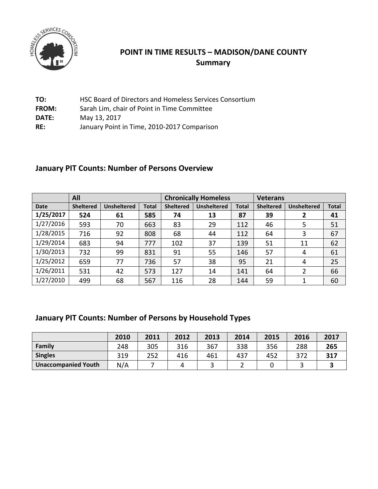

#### **POINT IN TIME RESULTS – MADISON/DANE COUNTY Summary**

| TO:          | HSC Board of Directors and Homeless Services Consortium |
|--------------|---------------------------------------------------------|
| <b>FROM:</b> | Sarah Lim, chair of Point in Time Committee             |
| DATE:        | May 13, 2017                                            |
| RE:          | January Point in Time, 2010-2017 Comparison             |

## **January PIT Counts: Number of Persons Overview**

|             | All              |                    |       | <b>Chronically Homeless</b> |                    |              | <b>Veterans</b>  |                    |              |
|-------------|------------------|--------------------|-------|-----------------------------|--------------------|--------------|------------------|--------------------|--------------|
| <b>Date</b> | <b>Sheltered</b> | <b>Unsheltered</b> | Total | <b>Sheltered</b>            | <b>Unsheltered</b> | <b>Total</b> | <b>Sheltered</b> | <b>Unsheltered</b> | <b>Total</b> |
| 1/25/2017   | 524              | 61                 | 585   | 74                          | 13                 | 87           | 39               | 2                  | 41           |
| 1/27/2016   | 593              | 70                 | 663   | 83                          | 29                 | 112          | 46               | 5                  | 51           |
| 1/28/2015   | 716              | 92                 | 808   | 68                          | 44                 | 112          | 64               | 3                  | 67           |
| 1/29/2014   | 683              | 94                 | 777   | 102                         | 37                 | 139          | 51               | 11                 | 62           |
| 1/30/2013   | 732              | 99                 | 831   | 91                          | 55                 | 146          | 57               | 4                  | 61           |
| 1/25/2012   | 659              | 77                 | 736   | 57                          | 38                 | 95           | 21               | 4                  | 25           |
| 1/26/2011   | 531              | 42                 | 573   | 127                         | 14                 | 141          | 64               |                    | 66           |
| 1/27/2010   | 499              | 68                 | 567   | 116                         | 28                 | 144          | 59               | 1                  | 60           |

## **January PIT Counts: Number of Persons by Household Types**

|                            | 2010 | 2011 | 2012 | 2013 | 2014 | 2015 | 2016 | 2017 |
|----------------------------|------|------|------|------|------|------|------|------|
| Family                     | 248  | 305  | 316  | 367  | 338  | 356  | 288  | 265  |
| <b>Singles</b>             | 319  | 252  | 416  | 461  | 437  | 452  | 372  | 317  |
| <b>Unaccompanied Youth</b> | N/A  |      |      |      |      |      |      |      |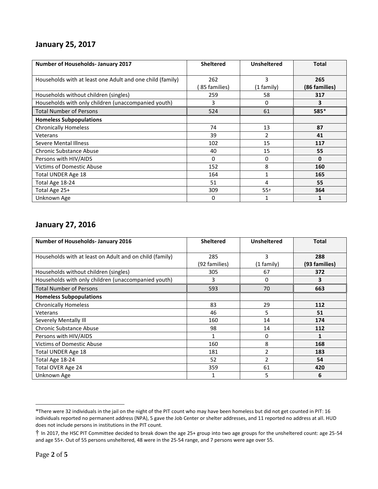#### **January 25, 2017**

| <b>Number of Households- January 2017</b>                 | <b>Sheltered</b> | <b>Unsheltered</b> | <b>Total</b>  |
|-----------------------------------------------------------|------------------|--------------------|---------------|
| Households with at least one Adult and one child (family) | 262              | 3                  | 265           |
|                                                           | 85 families)     | $(1$ family)       | (86 families) |
| Households without children (singles)                     | 259              | 58                 | 317           |
| Households with only children (unaccompanied youth)       | 3                | 0                  | 3             |
| <b>Total Number of Persons</b>                            | 524              | 61                 | 585*          |
| <b>Homeless Subpopulations</b>                            |                  |                    |               |
| <b>Chronically Homeless</b>                               | 74               | 13                 | 87            |
| Veterans                                                  | 39               | 2                  | 41            |
| <b>Severe Mental Illness</b>                              | 102              | 15                 | 117           |
| <b>Chronic Substance Abuse</b>                            | 40               | 15                 | 55            |
| Persons with HIV/AIDS                                     | 0                | 0                  | 0             |
| <b>Victims of Domestic Abuse</b>                          | 152              | 8                  | 160           |
| Total UNDER Age 18                                        | 164              | 1                  | 165           |
| Total Age 18-24                                           | 51               | 4                  | 55            |
| Total Age 25+                                             | 309              | $55+$              | 364           |
| Unknown Age                                               | 0                | 1                  |               |

#### **January 27, 2016**

| <b>Number of Households- January 2016</b>               | <b>Sheltered</b>     | <b>Unsheltered</b> | <b>Total</b>         |
|---------------------------------------------------------|----------------------|--------------------|----------------------|
| Households with at least on Adult and on child (family) | 285                  | 3                  | 288                  |
| Households without children (singles)                   | (92 families)<br>305 | (1 family)<br>67   | (93 families)<br>372 |
| Households with only children (unaccompanied youth)     | 3                    | 0                  | 3                    |
| <b>Total Number of Persons</b>                          | 593                  | 70                 | 663                  |
| <b>Homeless Subpopulations</b>                          |                      |                    |                      |
| <b>Chronically Homeless</b>                             | 83                   | 29                 | 112                  |
| Veterans                                                | 46                   | 5                  | 51                   |
| Severely Mentally Ill                                   | 160                  | 14                 | 174                  |
| Chronic Substance Abuse                                 | 98                   | 14                 | 112                  |
| Persons with HIV/AIDS                                   | 1                    | 0                  | 1                    |
| <b>Victims of Domestic Abuse</b>                        | 160                  | 8                  | 168                  |
| Total UNDER Age 18                                      | 181                  | $\overline{2}$     | 183                  |
| Total Age 18-24                                         | 52                   | $\overline{2}$     | 54                   |
| Total OVER Age 24                                       | 359                  | 61                 | 420                  |
| Unknown Age                                             |                      | 5                  | 6                    |

<sup>\*</sup>There were 32 individuals in the jail on the night of the PIT count who may have been homeless but did not get counted in PIT: 16 individuals reported no permanent address (NPA), 5 gave the Job Center or shelter addresses, and 11 reported no address at all. HUD does not include persons in institutions in the PIT count.

<sup>†</sup> In 2017, the HSC PIT Committee decided to break down the age 25+ group into two age groups for the unsheltered count: age 25-54 and age 55+. Out of 55 persons unsheltered, 48 were in the 25-54 range, and 7 persons were age over 55.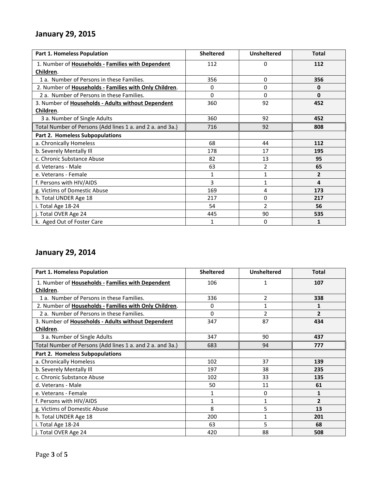#### **January 29, 2015**

| <b>Part 1. Homeless Population</b>                        | <b>Sheltered</b> | <b>Unsheltered</b> | <b>Total</b>   |
|-----------------------------------------------------------|------------------|--------------------|----------------|
| 1. Number of Households - Families with Dependent         | 112              | $\Omega$           | 112            |
| Children.                                                 |                  |                    |                |
| 1 a. Number of Persons in these Families.                 | 356              | $\Omega$           | 356            |
| 2. Number of Households - Families with Only Children.    | 0                | $\Omega$           | 0              |
| 2 a. Number of Persons in these Families.                 | $\Omega$         | $\Omega$           | $\bf{0}$       |
| 3. Number of Households - Adults without Dependent        | 360              | 92                 | 452            |
| Children.                                                 |                  |                    |                |
| 3 a. Number of Single Adults                              | 360              | 92                 | 452            |
| Total Number of Persons (Add lines 1 a. and 2 a. and 3a.) | 716              | 92                 | 808            |
| Part 2. Homeless Subpopulations                           |                  |                    |                |
| a. Chronically Homeless                                   | 68               | 44                 | 112            |
| b. Severely Mentally III                                  | 178              | 17                 | 195            |
| c. Chronic Substance Abuse                                | 82               | 13                 | 95             |
| d. Veterans - Male                                        | 63               | 2                  | 65             |
| e. Veterans - Female                                      | 1                | $\mathbf{1}$       | $\overline{2}$ |
| f. Persons with HIV/AIDS                                  | 3                | $\mathbf{1}$       | 4              |
| g. Victims of Domestic Abuse                              | 169              | 4                  | 173            |
| h. Total UNDER Age 18                                     | 217              | 0                  | 217            |
| i. Total Age 18-24                                        | 54               | $\overline{2}$     | 56             |
| j. Total OVER Age 24                                      | 445              | 90                 | 535            |
| k. Aged Out of Foster Care                                | 1                | 0                  | 1              |

## **January 29, 2014**

| <b>Part 1. Homeless Population</b>                        | <b>Sheltered</b> | <b>Unsheltered</b> | <b>Total</b>   |
|-----------------------------------------------------------|------------------|--------------------|----------------|
| 1. Number of Households - Families with Dependent         | 106              | 1                  | 107            |
| Children.                                                 |                  |                    |                |
| 1 a. Number of Persons in these Families.                 | 336              | 2                  | 338            |
| 2. Number of Households - Families with Only Children.    | 0                | 1                  | 1              |
| 2 a. Number of Persons in these Families.                 | $\Omega$         | $\overline{2}$     | $\overline{2}$ |
| 3. Number of Households - Adults without Dependent        | 347              | 87                 | 434            |
| Children.                                                 |                  |                    |                |
| 3 a. Number of Single Adults                              | 347              | 90                 | 437            |
| Total Number of Persons (Add lines 1 a. and 2 a. and 3a.) | 683              | 94                 | 777            |
| <b>Part 2. Homeless Subpopulations</b>                    |                  |                    |                |
| a. Chronically Homeless                                   | 102              | 37                 | 139            |
| b. Severely Mentally III                                  | 197              | 38                 | 235            |
| c. Chronic Substance Abuse                                | 102              | 33                 | 135            |
| d. Veterans - Male                                        | 50               | 11                 | 61             |
| e. Veterans - Female                                      | $\mathbf{1}$     | 0                  | $\mathbf{1}$   |
| f. Persons with HIV/AIDS                                  | $\mathbf{1}$     | $\mathbf{1}$       | $\overline{2}$ |
| g. Victims of Domestic Abuse                              | 8                | 5                  | 13             |
| h. Total UNDER Age 18                                     | 200              | $\mathbf{1}$       | 201            |
| i. Total Age 18-24                                        | 63               | 5                  | 68             |
| j. Total OVER Age 24                                      | 420              | 88                 | 508            |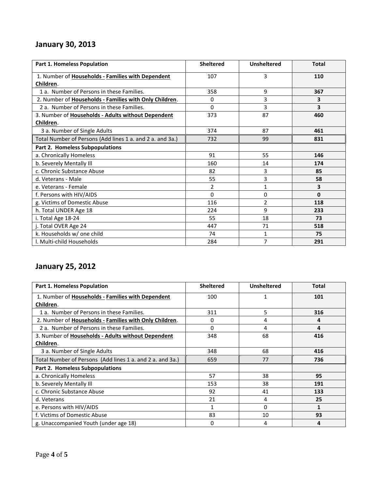## **January 30, 2013**

| <b>Part 1. Homeless Population</b>                        | <b>Sheltered</b> | <b>Unsheltered</b> | <b>Total</b> |
|-----------------------------------------------------------|------------------|--------------------|--------------|
| 1. Number of Households - Families with Dependent         | 107              | 3                  | 110          |
| Children.                                                 |                  |                    |              |
| 1 a. Number of Persons in these Families.                 | 358              | 9                  | 367          |
| 2. Number of Households - Families with Only Children.    | 0                | 3                  | 3            |
| 2 a. Number of Persons in these Families.                 | 0                | 3                  | 3            |
| 3. Number of Households - Adults without Dependent        | 373              | 87                 | 460          |
| Children.                                                 |                  |                    |              |
| 3 a. Number of Single Adults                              | 374              | 87                 | 461          |
| Total Number of Persons (Add lines 1 a. and 2 a. and 3a.) | 732              | 99                 | 831          |
| Part 2. Homeless Subpopulations                           |                  |                    |              |
| a. Chronically Homeless                                   | 91               | 55                 | 146          |
| b. Severely Mentally III                                  | 160              | 14                 | 174          |
| c. Chronic Substance Abuse                                | 82               | 3                  | 85           |
| d. Veterans - Male                                        | 55               | 3                  | 58           |
| e. Veterans - Female                                      | 2                | $\mathbf{1}$       | 3            |
| f. Persons with HIV/AIDS                                  | 0                | 0                  | 0            |
| g. Victims of Domestic Abuse                              | 116              | $\overline{2}$     | 118          |
| h. Total UNDER Age 18                                     | 224              | 9                  | 233          |
| i. Total Age 18-24                                        | 55               | 18                 | 73           |
| j. Total OVER Age 24                                      | 447              | 71                 | 518          |
| k. Households w/ one child                                | 74               | 1                  | 75           |
| I. Multi-child Households                                 | 284              | 7                  | 291          |

# **January 25, 2012**

| <b>Part 1. Homeless Population</b>                        | <b>Sheltered</b> | <b>Unsheltered</b> | <b>Total</b> |
|-----------------------------------------------------------|------------------|--------------------|--------------|
| 1. Number of Households - Families with Dependent         | 100              | 1                  | 101          |
| Children.                                                 |                  |                    |              |
| 1 a. Number of Persons in these Families.                 | 311              | 5                  | 316          |
| 2. Number of Households - Families with Only Children.    | 0                | 4                  | 4            |
| 2 a. Number of Persons in these Families.                 | 0                | 4                  | 4            |
| 3. Number of Households - Adults without Dependent        | 348              | 68                 | 416          |
| Children.                                                 |                  |                    |              |
| 3 a. Number of Single Adults                              | 348              | 68                 | 416          |
| Total Number of Persons (Add lines 1 a. and 2 a. and 3a.) | 659              | 77                 | 736          |
| Part 2. Homeless Subpopulations                           |                  |                    |              |
| a. Chronically Homeless                                   | 57               | 38                 | 95           |
| b. Severely Mentally III                                  | 153              | 38                 | 191          |
| c. Chronic Substance Abuse                                | 92               | 41                 | 133          |
| d. Veterans                                               | 21               | 4                  | 25           |
| e. Persons with HIV/AIDS                                  | 1                | 0                  | $\mathbf{1}$ |
| f. Victims of Domestic Abuse                              | 83               | 10                 | 93           |
| g. Unaccompanied Youth (under age 18)                     | 0                | 4                  | 4            |